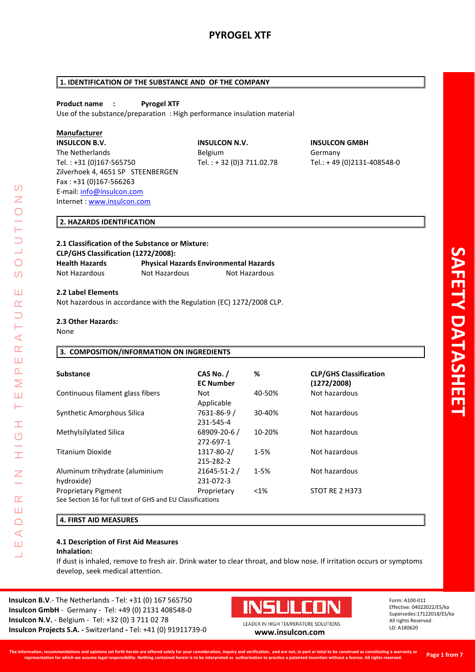# **1. IDENTIFICATION OF THE SUBSTANCE AND OF THE COMPANY**

# **Product name : Pyrogel XTF**

Use of the substance/preparation : High performance insulation material

# **Manufacturer**

**INSULCON B.V. INSULCON N.V. INSULCON GMBH** The Netherlands **Belgium** Belgium Germany Tel. : +31 (0)167-565750 Tel. : + 32 (0)3 711.02.78 Tel.: + 49 (0)2131-408548-0 Zilverhoek 4, 4651 SP STEENBERGEN Fax : +31 (0)167-566263 E-mail: [info@insulcon.com](mailto:info@insulcon.com) Internet : [www.insulcon.com](http://www.insulcon.com/)

# **2. HAZARDS IDENTIFICATION**

# **2.1 Classification of the Substance or Mixture: CLP/GHS Classification (1272/2008): Health Hazards Physical Hazards Environmental Hazards** Not Hazardous Not Hazardous Not Hazardous

### **2.2 Label Elements**

Not hazardous in accordance with the Regulation (EC) 1272/2008 CLP.

### **2.3 Other Hazards:**

None

LEADER IN HIGH TEMPERATURE SOLUTIONS

Ŧ  $\overline{C}$ 

I

 $\alpha$ Ш  $\Box$  $\blacktriangleleft$ Ш 二

⋖  $\alpha$ Ш  $\Delta$ Σ Ш  $\vdash$ 

 $\Omega$ Z

 $\bigcirc$  $\Omega$ 

Ш  $\alpha$ 

# **3. COMPOSITION/INFORMATION ON INGREDIENTS**

| <b>Substance</b>                                                                         | CAS No. /<br><b>EC Number</b>   | %        | <b>CLP/GHS Classification</b><br>(1272/2008) |
|------------------------------------------------------------------------------------------|---------------------------------|----------|----------------------------------------------|
| Continuous filament glass fibers                                                         | Not<br>Applicable               | 40-50%   | Not hazardous                                |
| Synthetic Amorphous Silica                                                               | 7631-86-9 /<br>231-545-4        | 30-40%   | Not hazardous                                |
| Methylsilylated Silica                                                                   | $68909 - 20 - 6$ /<br>272-697-1 | 10-20%   | Not hazardous                                |
| Titanium Dioxide                                                                         | 1317-80-2/<br>215-282-2         | $1 - 5%$ | Not hazardous                                |
| Aluminum trihydrate (aluminium<br>hydroxide)                                             | 21645-51-2 /<br>231-072-3       | $1 - 5%$ | Not hazardous                                |
| <b>Proprietary Pigment</b><br>See Section 16 for full text of GHS and EU Classifications | Proprietary                     | $< 1\%$  | STOT RE 2 H373                               |

# **4. FIRST AID MEASURES**

#### **4.1 Description of First Aid Measures Inhalation:**

If dust is inhaled, remove to fresh air. Drink water to clear throat, and blow nose. If irritation occurs or symptoms develop, seek medical attention.

**Insulcon B.V**.- The Netherlands - Tel: +31 (0) 167 565750 **Insulcon GmbH** - Germany - Tel: +49 (0) 2131 408548-0 **Insulcon N.V.** - Belgium - Tel: +32 (0) 3 711 02 78 **Insulcon Projects S.A. -** Switzerland **-** Tel: +41 (0) 91911739-0 **[www.insulcon.com](http://www.insulcon.com/)**

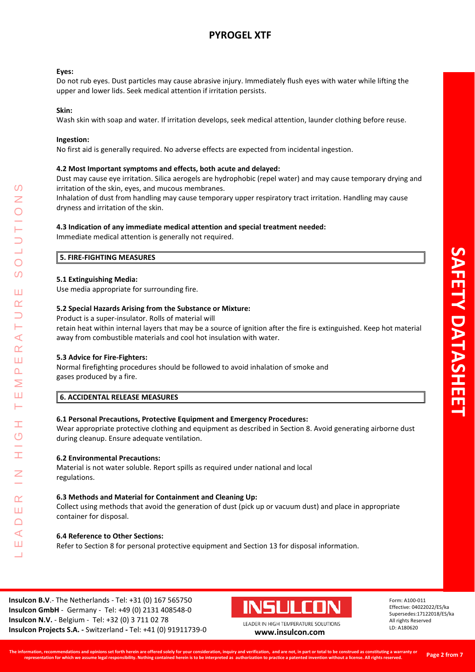### **Eyes:**

Do not rub eyes. Dust particles may cause abrasive injury. Immediately flush eyes with water while lifting the upper and lower lids. Seek medical attention if irritation persists.

### **Skin:**

Wash skin with soap and water. If irritation develops, seek medical attention, launder clothing before reuse.

### **Ingestion:**

No first aid is generally required. No adverse effects are expected from incidental ingestion.

# **4.2 Most Important symptoms and effects, both acute and delayed:**

Dust may cause eye irritation. Silica aerogels are hydrophobic (repel water) and may cause temporary drying and irritation of the skin, eyes, and mucous membranes.

Inhalation of dust from handling may cause temporary upper respiratory tract irritation. Handling may cause dryness and irritation of the skin.

### **4.3 Indication of any immediate medical attention and special treatment needed:**

Immediate medical attention is generally not required.

### **5. FIRE-FIGHTING MEASURES**

### **5.1 Extinguishing Media:**

Use media appropriate for surrounding fire.

### **5.2 Special Hazards Arising from the Substance or Mixture:**

Product is a super-insulator. Rolls of material will

retain heat within internal layers that may be a source of ignition after the fire is extinguished. Keep hot material away from combustible materials and cool hot insulation with water.

# **5.3 Advice for Fire-Fighters:**

LEADER IN HIGH TEMPERATURE SOLUTIONS

Ŧ  $\overline{C}$ 

 $\alpha$ Ш  $\Box$  $\blacktriangleleft$ Ш  $\overline{\phantom{0}}$ 

 $\prec$  $\alpha$ Ш  $\overline{\mathbf{r}}$  $\geq$ Ш Н

 $\Omega$ Z

 $\overline{O}$  $\boldsymbol{\omega}$ 

Ш  $\alpha$ 

> Normal firefighting procedures should be followed to avoid inhalation of smoke and gases produced by a fire.

# **6. ACCIDENTAL RELEASE MEASURES**

# **6.1 Personal Precautions, Protective Equipment and Emergency Procedures:**

Wear appropriate protective clothing and equipment as described in Section 8. Avoid generating airborne dust during cleanup. Ensure adequate ventilation.

### **6.2 Environmental Precautions:**

Material is not water soluble. Report spills as required under national and local regulations.

### **6.3 Methods and Material for Containment and Cleaning Up:**

Collect using methods that avoid the generation of dust (pick up or vacuum dust) and place in appropriate container for disposal.

### **6.4 Reference to Other Sections:**

Refer to Section 8 for personal protective equipment and Section 13 for disposal information.

**Insulcon B.V**.- The Netherlands - Tel: +31 (0) 167 565750 **Insulcon GmbH** - Germany - Tel: +49 (0) 2131 408548-0 **Insulcon N.V.** - Belgium - Tel: +32 (0) 3 711 02 78 **Insulcon Projects S.A. -** Switzerland **-** Tel: +41 (0) 91911739-0 **[www.insulcon.com](http://www.insulcon.com/)**

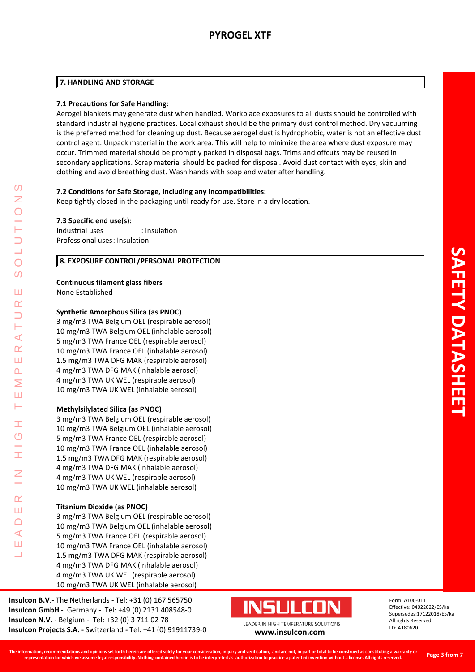# **7. HANDLING AND STORAGE**

# **7.1 Precautions for Safe Handling:**

Aerogel blankets may generate dust when handled. Workplace exposures to all dusts should be controlled with standard industrial hygiene practices. Local exhaust should be the primary dust control method. Dry vacuuming is the preferred method for cleaning up dust. Because aerogel dust is hydrophobic, water is not an effective dust control agent. Unpack material in the work area. This will help to minimize the area where dust exposure may occur. Trimmed material should be promptly packed in disposal bags. Trims and offcuts may be reused in secondary applications. Scrap material should be packed for disposal. Avoid dust contact with eyes, skin and clothing and avoid breathing dust. Wash hands with soap and water after handling.

# **7.2 Conditions for Safe Storage, Including any Incompatibilities:**

Keep tightly closed in the packaging until ready for use. Store in a dry location.

# **7.3 Specific end use(s):**

Industrial uses : Insulation Professional uses: Insulation

# **8. EXPOSURE CONTROL/PERSONAL PROTECTION**

# **Continuous filament glass fibers**

None Established

LEADER IN HIGH TEMPERATURE SOLUTIONS

Ŧ  $\overline{C}$ 

 $\alpha$ Ш  $\Box$  $\blacktriangleleft$ Ш 二

 $\Omega$ Z

 $\bigcirc$  $\Omega$ 

Ш  $\alpha$ 

Н  $\prec$  $\alpha$ Ш  $\overline{\mathbf{r}}$ Σ Ш н

# **Synthetic Amorphous Silica (as PNOC)**

3 mg/m3 TWA Belgium OEL (respirable aerosol) 10 mg/m3 TWA Belgium OEL (inhalable aerosol) 5 mg/m3 TWA France OEL (respirable aerosol) 10 mg/m3 TWA France OEL (inhalable aerosol) 1.5 mg/m3 TWA DFG MAK (respirable aerosol) 4 mg/m3 TWA DFG MAK (inhalable aerosol) 4 mg/m3 TWA UK WEL (respirable aerosol) 10 mg/m3 TWA UK WEL (inhalable aerosol)

# **Methylsilylated Silica (as PNOC)**

3 mg/m3 TWA Belgium OEL (respirable aerosol) 10 mg/m3 TWA Belgium OEL (inhalable aerosol) 5 mg/m3 TWA France OEL (respirable aerosol) 10 mg/m3 TWA France OEL (inhalable aerosol) 1.5 mg/m3 TWA DFG MAK (respirable aerosol) 4 mg/m3 TWA DFG MAK (inhalable aerosol) 4 mg/m3 TWA UK WEL (respirable aerosol) 10 mg/m3 TWA UK WEL (inhalable aerosol)

# **Titanium Dioxide (as PNOC)**

3 mg/m3 TWA Belgium OEL (respirable aerosol) 10 mg/m3 TWA Belgium OEL (inhalable aerosol) 5 mg/m3 TWA France OEL (respirable aerosol) 10 mg/m3 TWA France OEL (inhalable aerosol) 1.5 mg/m3 TWA DFG MAK (respirable aerosol) 4 mg/m3 TWA DFG MAK (inhalable aerosol) 4 mg/m3 TWA UK WEL (respirable aerosol) 10 mg/m3 TWA UK WEL (inhalable aerosol)

**Insulcon B.V**.- The Netherlands - Tel: +31 (0) 167 565750 **Insulcon GmbH** - Germany - Tel: +49 (0) 2131 408548-0 **Insulcon N.V.** - Belgium - Tel: +32 (0) 3 711 02 78 **Insulcon Projects S.A. -** Switzerland **-** Tel: +41 (0) 91911739-0 **[www.insulcon.com](http://www.insulcon.com/)**

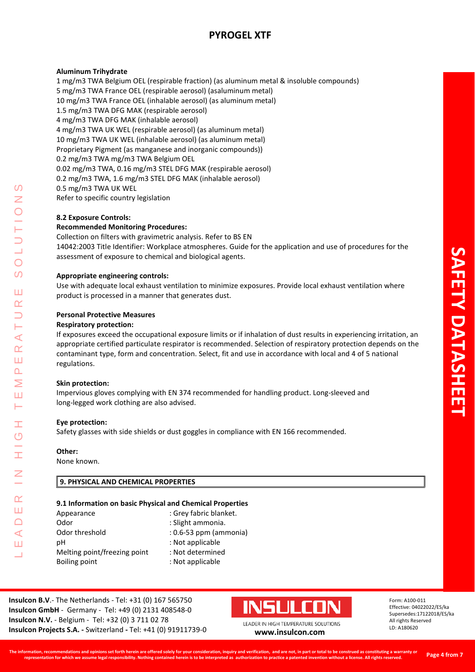# **Aluminum Trihydrate**

1 mg/m3 TWA Belgium OEL (respirable fraction) (as aluminum metal & insoluble compounds) 5 mg/m3 TWA France OEL (respirable aerosol) (asaluminum metal) 10 mg/m3 TWA France OEL (inhalable aerosol) (as aluminum metal) 1.5 mg/m3 TWA DFG MAK (respirable aerosol) 4 mg/m3 TWA DFG MAK (inhalable aerosol) 4 mg/m3 TWA UK WEL (respirable aerosol) (as aluminum metal) 10 mg/m3 TWA UK WEL (inhalable aerosol) (as aluminum metal) Proprietary Pigment (as manganese and inorganic compounds)) 0.2 mg/m3 TWA mg/m3 TWA Belgium OEL 0.02 mg/m3 TWA, 0.16 mg/m3 STEL DFG MAK (respirable aerosol) 0.2 mg/m3 TWA, 1.6 mg/m3 STEL DFG MAK (inhalable aerosol) 0.5 mg/m3 TWA UK WEL Refer to specific country legislation

# **8.2 Exposure Controls:**

### **Recommended Monitoring Procedures:**

Collection on filters with gravimetric analysis. Refer to BS EN 14042:2003 Title Identifier: Workplace atmospheres. Guide for the application and use of procedures for the assessment of exposure to chemical and biological agents.

### **Appropriate engineering controls:**

Use with adequate local exhaust ventilation to minimize exposures. Provide local exhaust ventilation where product is processed in a manner that generates dust.

### **Personal Protective Measures**

### **Respiratory protection:**

If exposures exceed the occupational exposure limits or if inhalation of dust results in experiencing irritation, an appropriate certified particulate respirator is recommended. Selection of respiratory protection depends on the contaminant type, form and concentration. Select, fit and use in accordance with local and 4 of 5 national regulations.

### **Skin protection:**

Impervious gloves complying with EN 374 recommended for handling product. Long-sleeved and long-legged work clothing are also advised.

### **Eye protection:**

Safety glasses with side shields or dust goggles in compliance with EN 166 recommended.

# **Other:**

LEADER IN HIGH TEMPERATURE SOLUTIONS

Ŧ  $\overline{C}$ 

I

 $\alpha$ Ш  $\Box$  $\blacktriangleleft$ Ш 二

 $\prec$  $\alpha$ Ш  $\Delta$ Σ Ш Н

 $\Omega$ Z

 $\bigcirc$  $\boldsymbol{\omega}$ 

Ш  $\alpha$  $\overline{\phantom{0}}$ 

None known.

# **9. PHYSICAL AND CHEMICAL PROPERTIES**

# **9.1 Information on basic Physical and Chemical Properties**

| Appearance                   | : Grey fabric blanket.     |
|------------------------------|----------------------------|
| Odor                         | : Slight ammonia.          |
| Odor threshold               | $: 0.6 - 53$ ppm (ammonia) |
| рH                           | : Not applicable           |
| Melting point/freezing point | : Not determined           |
| Boiling point                | : Not applicable           |
|                              |                            |

**Insulcon B.V**.- The Netherlands - Tel: +31 (0) 167 565750 **Insulcon GmbH** - Germany - Tel: +49 (0) 2131 408548-0 **Insulcon N.V.** - Belgium - Tel: +32 (0) 3 711 02 78 **Insulcon Projects S.A. -** Switzerland **-** Tel: +41 (0) 91911739-0 **[www.insulcon.com](http://www.insulcon.com/)**

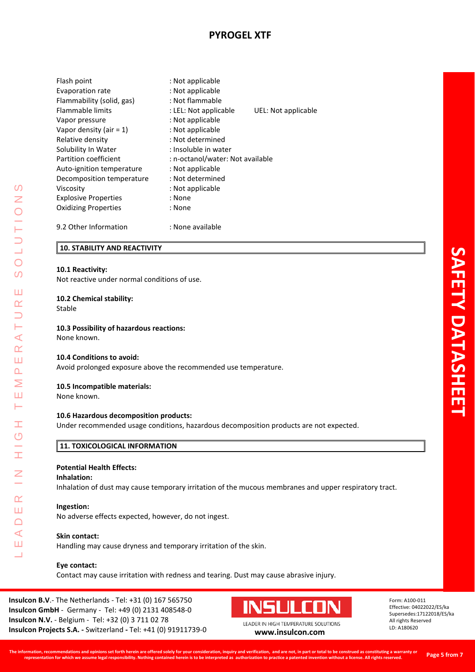| Flash point                 | : Not applicable                 |                     |  |
|-----------------------------|----------------------------------|---------------------|--|
| Evaporation rate            | : Not applicable                 |                     |  |
| Flammability (solid, gas)   | : Not flammable                  |                     |  |
| <b>Flammable limits</b>     | : LEL: Not applicable            | UEL: Not applicable |  |
| Vapor pressure              | : Not applicable                 |                     |  |
| Vapor density (air $= 1$ )  | : Not applicable                 |                     |  |
| Relative density            | : Not determined                 |                     |  |
| Solubility In Water         | : Insoluble in water             |                     |  |
| Partition coefficient       | : n-octanol/water: Not available |                     |  |
| Auto-ignition temperature   | : Not applicable                 |                     |  |
| Decomposition temperature   | : Not determined                 |                     |  |
| Viscosity                   | : Not applicable                 |                     |  |
| <b>Explosive Properties</b> | : None                           |                     |  |
| <b>Oxidizing Properties</b> | : None                           |                     |  |
| 9.2 Other Information       | : None available                 |                     |  |

# **10. STABILITY AND REACTIVITY**

### **10.1 Reactivity:**

Not reactive under normal conditions of use.

### **10.2 Chemical stability:**

Stable

LEADER IN HIGH TEMPERATURE SOLUTIONS

Ì.  $\overline{O}$ 

I

 $\alpha$ Ш  $\Box$  $\prec$ Ш 二

 $\Omega$ Z

 $\bigcirc$  $\Omega$ 

Ш  $\alpha$  $\overline{\phantom{0}}$ Н  $\prec$  $\underline{\alpha}$ Ш  $\Delta$  $\geq$ Ш  $\vdash$ 

# **10.3 Possibility of hazardous reactions:**

None known.

### **10.4 Conditions to avoid:**

Avoid prolonged exposure above the recommended use temperature.

### **10.5 Incompatible materials:**

None known.

### **10.6 Hazardous decomposition products:**

Under recommended usage conditions, hazardous decomposition products are not expected.

# **11. TOXICOLOGICAL INFORMATION**

# **Potential Health Effects:**

#### **Inhalation:**

Inhalation of dust may cause temporary irritation of the mucous membranes and upper respiratory tract.

#### **Ingestion:**

No adverse effects expected, however, do not ingest.

### **Skin contact:**

Handling may cause dryness and temporary irritation of the skin.

### **Eye contact:**

Contact may cause irritation with redness and tearing. Dust may cause abrasive injury.

**Insulcon B.V**.- The Netherlands - Tel: +31 (0) 167 565750 **Insulcon GmbH** - Germany - Tel: +49 (0) 2131 408548-0 **Insulcon N.V.** - Belgium - Tel: +32 (0) 3 711 02 78 **Insulcon Projects S.A. -** Switzerland **-** Tel: +41 (0) 91911739-0 **[www.insulcon.com](http://www.insulcon.com/)**

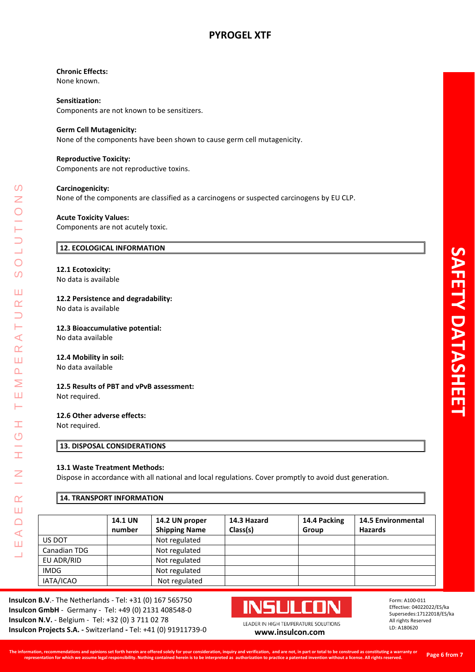# **Chronic Effects:**

None known.

# **Sensitization:**

Components are not known to be sensitizers.

# **Germ Cell Mutagenicity:**

None of the components have been shown to cause germ cell mutagenicity.

### **Reproductive Toxicity:**

Components are not reproductive toxins.

# **Carcinogenicity:**

None of the components are classified as a carcinogens or suspected carcinogens by EU CLP.

### **Acute Toxicity Values:**

Components are not acutely toxic.

# **12. ECOLOGICAL INFORMATION**

### **12.1 Ecotoxicity:**

No data is available

### **12.2 Persistence and degradability:**

No data is available

### **12.3 Bioaccumulative potential:**

No data available

### **12.4 Mobility in soil:**

No data available

# **12.5 Results of PBT and vPvB assessment:**

Not required.

LEADER IN HIGH TEMPERATURE SOLUTIONS

Ì.  $\overline{C}$ 

İ

 $\overline{z}$ 

 $\alpha$ Ш  $\Box$  $\blacktriangleleft$ Ш  $\overline{\phantom{0}}$ 

 $\Omega$ Z

 $\bigcirc$  $\Omega$ 

Ш  $\alpha$  $\overline{\phantom{0}}$ Н  $\prec$  $\underline{\alpha}$ Ш  $\Delta$  $\geq$ Ш  $\vdash$ 

### **12.6 Other adverse effects:**

Not required.

# **13. DISPOSAL CONSIDERATIONS**

# **13.1 Waste Treatment Methods:**

Dispose in accordance with all national and local regulations. Cover promptly to avoid dust generation.

# **14. TRANSPORT INFORMATION**

|              | <b>14.1 UN</b> | 14.2 UN proper       | 14.3 Hazard | 14.4 Packing | <b>14.5 Environmental</b> |
|--------------|----------------|----------------------|-------------|--------------|---------------------------|
|              | number         | <b>Shipping Name</b> | Class(s)    | Group        | <b>Hazards</b>            |
| US DOT       |                | Not regulated        |             |              |                           |
| Canadian TDG |                | Not regulated        |             |              |                           |
| EU ADR/RID   |                | Not regulated        |             |              |                           |
| <b>IMDG</b>  |                | Not regulated        |             |              |                           |
| IATA/ICAO    |                | Not regulated        |             |              |                           |

**Insulcon B.V**.- The Netherlands - Tel: +31 (0) 167 565750 **Insulcon GmbH** - Germany - Tel: +49 (0) 2131 408548-0 **Insulcon N.V.** - Belgium - Tel: +32 (0) 3 711 02 78 **Insulcon Projects S.A. -** Switzerland **-** Tel: +41 (0) 91911739-0 **[www.insulcon.com](http://www.insulcon.com/)**